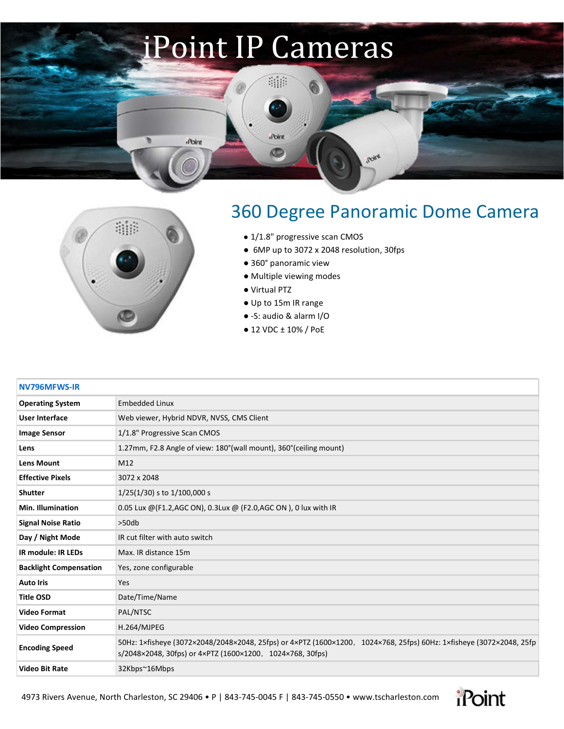## iPoint IP Cameras

ana

Point

O

iPoint



## 360 Degree Panoramic Dome Camera

**Roley** 

- 1/1.8" progressive scan CMOS
- 6MP up to 3072 x 2048 resolution, 30fps
- 360° panoramic view
- Multiple viewing modes
- Virtual PTZ
- Up to 15m IR range
- ‐S: audio & alarm I/O
- 12 VDC ± 10% / PoE

| NV796MFWS-IR                                                                                                                                                                     |  |
|----------------------------------------------------------------------------------------------------------------------------------------------------------------------------------|--|
| <b>Embedded Linux</b>                                                                                                                                                            |  |
| Web viewer, Hybrid NDVR, NVSS, CMS Client                                                                                                                                        |  |
| 1/1.8" Progressive Scan CMOS                                                                                                                                                     |  |
| 1.27mm, F2.8 Angle of view: 180° (wall mount), 360° (ceiling mount)                                                                                                              |  |
| M12                                                                                                                                                                              |  |
| 3072 x 2048                                                                                                                                                                      |  |
| $1/25(1/30)$ s to $1/100,000$ s                                                                                                                                                  |  |
| 0.05 Lux @(F1.2,AGC ON), 0.3Lux @ (F2.0,AGC ON), 0 lux with IR                                                                                                                   |  |
| >50db                                                                                                                                                                            |  |
| IR cut filter with auto switch                                                                                                                                                   |  |
| Max. IR distance 15m                                                                                                                                                             |  |
| Yes, zone configurable                                                                                                                                                           |  |
| Yes                                                                                                                                                                              |  |
| Date/Time/Name                                                                                                                                                                   |  |
| PAL/NTSC                                                                                                                                                                         |  |
| H.264/MJPEG                                                                                                                                                                      |  |
| 50Hz: 1xfisheye (3072x2048/2048x2048, 25fps) or 4xPTZ (1600x1200, 1024x768, 25fps) 60Hz: 1xfisheye (3072x2048, 25fp<br>s/2048×2048, 30fps) or 4×PTZ (1600×1200, 1024×768, 30fps) |  |
| 32Kbps~16Mbps                                                                                                                                                                    |  |
|                                                                                                                                                                                  |  |